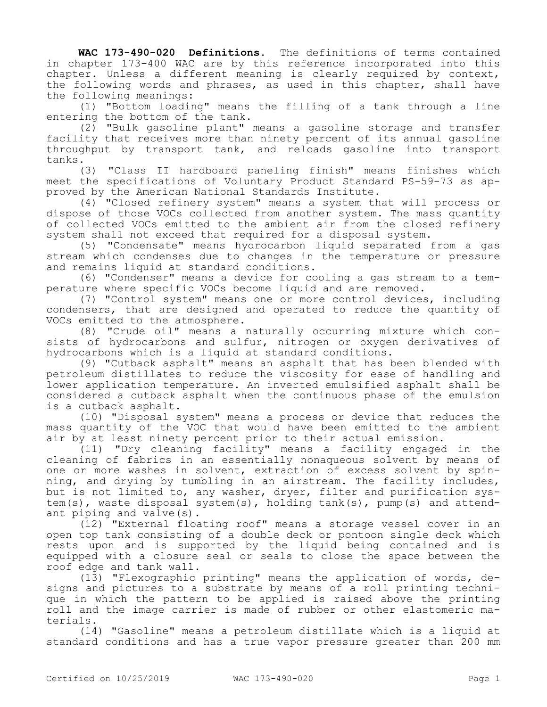**WAC 173-490-020 Definitions.** The definitions of terms contained in chapter 173-400 WAC are by this reference incorporated into this chapter. Unless a different meaning is clearly required by context, the following words and phrases, as used in this chapter, shall have the following meanings:

(1) "Bottom loading" means the filling of a tank through a line entering the bottom of the tank.

(2) "Bulk gasoline plant" means a gasoline storage and transfer facility that receives more than ninety percent of its annual gasoline throughput by transport tank, and reloads gasoline into transport tanks.

(3) "Class II hardboard paneling finish" means finishes which meet the specifications of Voluntary Product Standard PS-59-73 as approved by the American National Standards Institute.

(4) "Closed refinery system" means a system that will process or dispose of those VOCs collected from another system. The mass quantity of collected VOCs emitted to the ambient air from the closed refinery system shall not exceed that required for a disposal system.

(5) "Condensate" means hydrocarbon liquid separated from a gas stream which condenses due to changes in the temperature or pressure and remains liquid at standard conditions.

(6) "Condenser" means a device for cooling a gas stream to a temperature where specific VOCs become liquid and are removed.

(7) "Control system" means one or more control devices, including condensers, that are designed and operated to reduce the quantity of VOCs emitted to the atmosphere.

(8) "Crude oil" means a naturally occurring mixture which consists of hydrocarbons and sulfur, nitrogen or oxygen derivatives of hydrocarbons which is a liquid at standard conditions.

(9) "Cutback asphalt" means an asphalt that has been blended with petroleum distillates to reduce the viscosity for ease of handling and lower application temperature. An inverted emulsified asphalt shall be considered a cutback asphalt when the continuous phase of the emulsion is a cutback asphalt.

(10) "Disposal system" means a process or device that reduces the mass quantity of the VOC that would have been emitted to the ambient air by at least ninety percent prior to their actual emission.

(11) "Dry cleaning facility" means a facility engaged in the cleaning of fabrics in an essentially nonaqueous solvent by means of one or more washes in solvent, extraction of excess solvent by spinning, and drying by tumbling in an airstream. The facility includes, but is not limited to, any washer, dryer, filter and purification system(s), waste disposal system(s), holding tank(s), pump(s) and attendant piping and valve(s).

(12) "External floating roof" means a storage vessel cover in an open top tank consisting of a double deck or pontoon single deck which rests upon and is supported by the liquid being contained and is equipped with a closure seal or seals to close the space between the roof edge and tank wall.

(13) "Flexographic printing" means the application of words, designs and pictures to a substrate by means of a roll printing technique in which the pattern to be applied is raised above the printing roll and the image carrier is made of rubber or other elastomeric materials.

(14) "Gasoline" means a petroleum distillate which is a liquid at standard conditions and has a true vapor pressure greater than 200 mm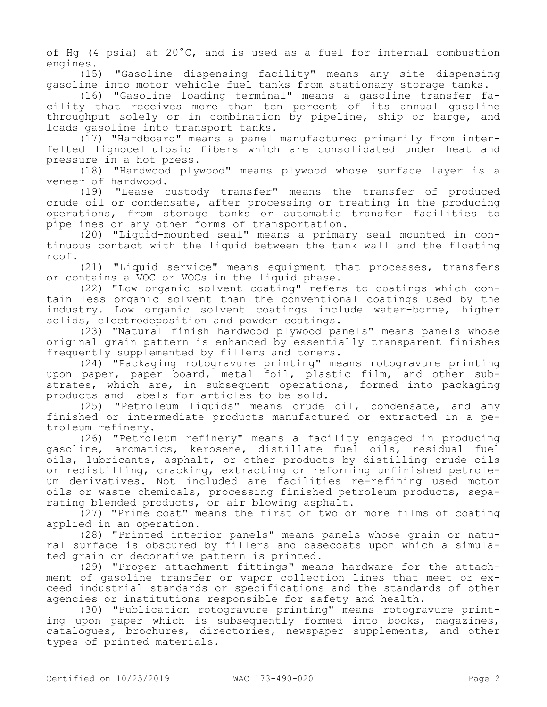of Hg (4 psia) at  $20^{\circ}$ C, and is used as a fuel for internal combustion engines.

(15) "Gasoline dispensing facility" means any site dispensing gasoline into motor vehicle fuel tanks from stationary storage tanks.

(16) "Gasoline loading terminal" means a gasoline transfer facility that receives more than ten percent of its annual gasoline throughput solely or in combination by pipeline, ship or barge, and loads gasoline into transport tanks.

(17) "Hardboard" means a panel manufactured primarily from interfelted lignocellulosic fibers which are consolidated under heat and pressure in a hot press.

(18) "Hardwood plywood" means plywood whose surface layer is a veneer of hardwood.

(19) "Lease custody transfer" means the transfer of produced crude oil or condensate, after processing or treating in the producing operations, from storage tanks or automatic transfer facilities to pipelines or any other forms of transportation.

(20) "Liquid-mounted seal" means a primary seal mounted in continuous contact with the liquid between the tank wall and the floating roof.

(21) "Liquid service" means equipment that processes, transfers or contains a VOC or VOCs in the liquid phase.

(22) "Low organic solvent coating" refers to coatings which contain less organic solvent than the conventional coatings used by the industry. Low organic solvent coatings include water-borne, higher solids, electrodeposition and powder coatings.

(23) "Natural finish hardwood plywood panels" means panels whose original grain pattern is enhanced by essentially transparent finishes frequently supplemented by fillers and toners.

(24) "Packaging rotogravure printing" means rotogravure printing upon paper, paper board, metal foil, plastic film, and other substrates, which are, in subsequent operations, formed into packaging products and labels for articles to be sold.

(25) "Petroleum liquids" means crude oil, condensate, and any finished or intermediate products manufactured or extracted in a petroleum refinery.

(26) "Petroleum refinery" means a facility engaged in producing gasoline, aromatics, kerosene, distillate fuel oils, residual fuel oils, lubricants, asphalt, or other products by distilling crude oils or redistilling, cracking, extracting or reforming unfinished petroleum derivatives. Not included are facilities re-refining used motor oils or waste chemicals, processing finished petroleum products, separating blended products, or air blowing asphalt.

(27) "Prime coat" means the first of two or more films of coating applied in an operation.

(28) "Printed interior panels" means panels whose grain or natural surface is obscured by fillers and basecoats upon which a simulated grain or decorative pattern is printed.

(29) "Proper attachment fittings" means hardware for the attachment of gasoline transfer or vapor collection lines that meet or exceed industrial standards or specifications and the standards of other agencies or institutions responsible for safety and health.

(30) "Publication rotogravure printing" means rotogravure printing upon paper which is subsequently formed into books, magazines, catalogues, brochures, directories, newspaper supplements, and other types of printed materials.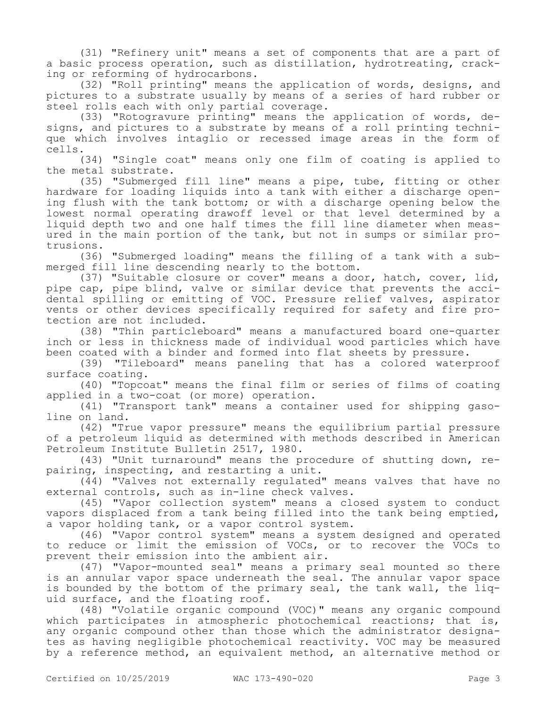(31) "Refinery unit" means a set of components that are a part of a basic process operation, such as distillation, hydrotreating, cracking or reforming of hydrocarbons.

(32) "Roll printing" means the application of words, designs, and pictures to a substrate usually by means of a series of hard rubber or steel rolls each with only partial coverage.

(33) "Rotogravure printing" means the application of words, designs, and pictures to a substrate by means of a roll printing technique which involves intaglio or recessed image areas in the form of cells.

(34) "Single coat" means only one film of coating is applied to the metal substrate.

(35) "Submerged fill line" means a pipe, tube, fitting or other hardware for loading liquids into a tank with either a discharge opening flush with the tank bottom; or with a discharge opening below the lowest normal operating drawoff level or that level determined by a liquid depth two and one half times the fill line diameter when measured in the main portion of the tank, but not in sumps or similar protrusions.

(36) "Submerged loading" means the filling of a tank with a submerged fill line descending nearly to the bottom.

(37) "Suitable closure or cover" means a door, hatch, cover, lid, pipe cap, pipe blind, valve or similar device that prevents the accidental spilling or emitting of VOC. Pressure relief valves, aspirator vents or other devices specifically required for safety and fire protection are not included.

(38) "Thin particleboard" means a manufactured board one-quarter inch or less in thickness made of individual wood particles which have been coated with a binder and formed into flat sheets by pressure.

(39) "Tileboard" means paneling that has a colored waterproof surface coating.

(40) "Topcoat" means the final film or series of films of coating applied in a two-coat (or more) operation.

(41) "Transport tank" means a container used for shipping gasoline on land.

(42) "True vapor pressure" means the equilibrium partial pressure of a petroleum liquid as determined with methods described in American Petroleum Institute Bulletin 2517, 1980.

(43) "Unit turnaround" means the procedure of shutting down, repairing, inspecting, and restarting a unit.

(44) "Valves not externally regulated" means valves that have no external controls, such as in-line check valves.

(45) "Vapor collection system" means a closed system to conduct vapors displaced from a tank being filled into the tank being emptied, a vapor holding tank, or a vapor control system.

(46) "Vapor control system" means a system designed and operated to reduce or limit the emission of VOCs, or to recover the VOCs to prevent their emission into the ambient air.

(47) "Vapor-mounted seal" means a primary seal mounted so there is an annular vapor space underneath the seal. The annular vapor space is bounded by the bottom of the primary seal, the tank wall, the liquid surface, and the floating roof.

(48) "Volatile organic compound (VOC)" means any organic compound which participates in atmospheric photochemical reactions; that is, any organic compound other than those which the administrator designates as having negligible photochemical reactivity. VOC may be measured by a reference method, an equivalent method, an alternative method or